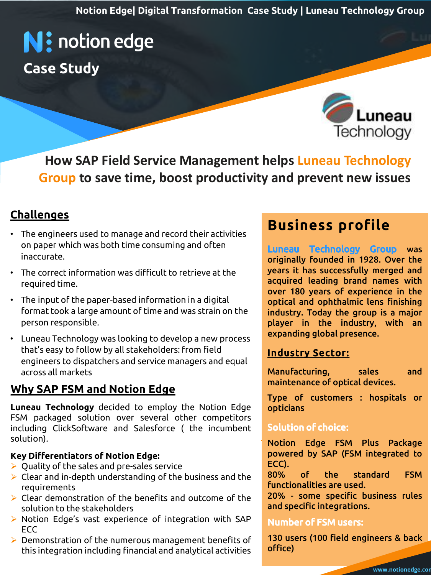**Notion Edge| Digital Transformation Case Study | Luneau Technology Group**

# **N:** notion edge **Case Study**

uneau Technology

**How SAP Field Service Management helps Luneau Technology Group to save time, boost productivity and prevent new issues**

### **Challenges**

- The engineers used to manage and record their activities on paper which was both time consuming and often inaccurate.
- The correct information was difficult to retrieve at the required time.
- Fine input of the paper based information in a digital **conduct on population and ophthatmic tens rinishing**<br>Format took a large amount of time and was strain on the **industry. Today the group is a major** • The input of the paper-based information in a digital person responsible.
- Luneau Technology was looking to develop a new process that's easy to follow by all stakeholders: from field engineers to dispatchers and service managers and equal across all markets

### **Why [SAP FSM](https://notionedge.com/smart-field-service-management/) and Notion Edge**

**Luneau Technology** decided to employ the Notion Edge FSM packaged solution over several other competitors including ClickSoftware and Salesforce ( the incumbent solution).

#### **Key Differentiators of Notion Edge:**

- $\triangleright$  Quality of the sales and pre-sales service
- $\triangleright$  Clear and in-depth understanding of the business and the requirements
- ➢ Clear demonstration of the benefits and outcome of the solution to the stakeholders
- ➢ Notion Edge's vast experience of integration with SAP ECC
- ➢ Demonstration of the numerous management benefits of this integration including financial and analytical activities

# **Business profile**

ible.<br>
Sampling Service Management Service Management Service Management Service Management Service Management Service<br>
The industry, with an Luneau Technology Group was originally founded in 1928. Over the years it has successfully merged and acquired leading brand names with over 180 years of experience in the optical and ophthalmic lens finishing industry. Today the group is a major expanding global presence.

#### Industry Sector:

Manufacturing, sales and maintenance of optical devices.

Type of customers : hospitals or opticians

#### Solution of choice:

Notion Edge FSM Plus Package powered by SAP (FSM integrated to ECC).

80% of the standard FSM functionalities are used.

20% - some specific business rules and specific integrations.

#### Number of FSM users:

130 users (100 field engineers & back office)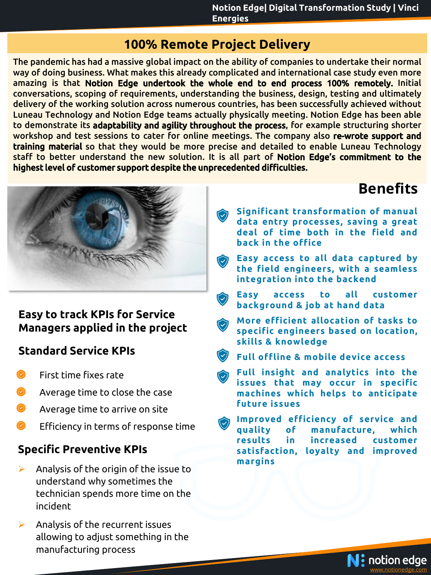### **100% Remote Project Delivery**

The pandemic has had a massive global impact on the ability of companies to undertake their normal way of doing business. What makes this already complicated and international case study even more amazing is that Notion Edge undertook the whole end to end process 100% remotely. Initial conversations, scoping of requirements, understanding the business, design, testing and ultimately delivery of the working solution across numerous countries, has been successfully achieved without Luneau Technology and Notion Edge teams actually physically meeting. Notion Edge has been able to demonstrate its adaptability and agility throughout the process, for example structuring shorter workshop and test sessions to cater for online meetings. The company also re-wrote support and training material so that they would be more precise and detailed to enable Luneau Technology staff to better understand the new solution. It is all part of Notion Edge's commitment to the highest level of customer support despite the unprecedented difficulties.



#### **Easy to track KPIs for Service Managers applied in the project**

### **Standard Service KPIs**

- $\bullet$  First time fixes rate
- Average time to close the case
- Average time to arrive on site
- Efficiency in terms of response time

### **Specific Preventive KPIs**

- $\triangleright$  Analysis of the origin of the issue to understand why sometimes the technician spends more time on the incident
- ➢ Analysis of the recurrent issues allowing to adjust something in the manufacturing process

# **Benefits**

- **Significant transformation of manual data entry processes, saving a great deal of time both in the field and back in the office**
- **Easy access to all data captured by the field engineers, with a seamless integration into the backend**
- **Easy access to all customer background & job at hand data**
	- **More efficient allocation of tasks to specific engineers based on location, skills & knowledge**
- **Full offline & mobile device access**
- **Full insight and analytics into the issues that may occur in specific machines which helps to anticipate future issues**
- **Improved efficiency of service and quality of manufacture, which results in increased customer satisfaction, loyalty and improved margins**